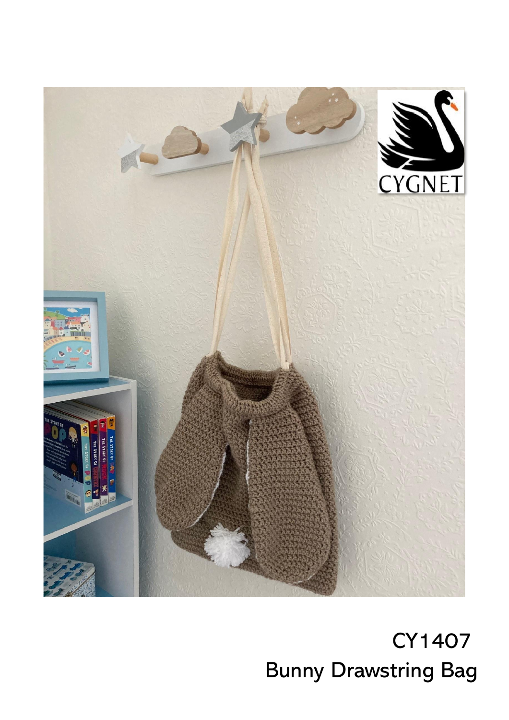

 CY1407 Bunny Drawstring Bag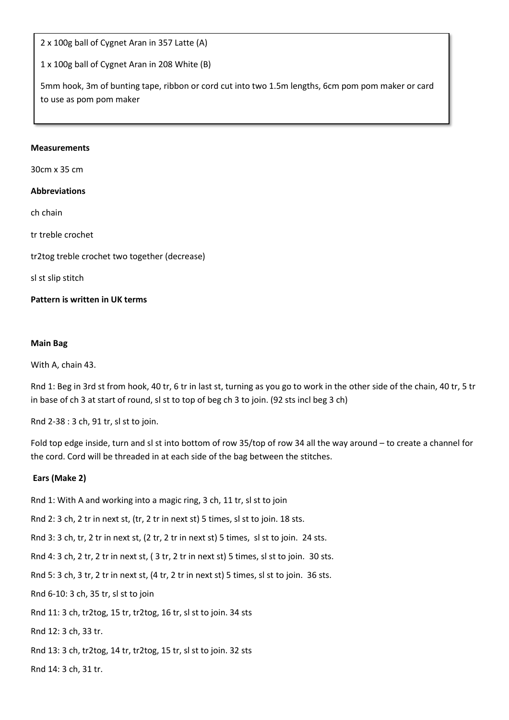2 x 100g ball of Cygnet Aran in 357 Latte (A)

1 x 100g ball of Cygnet Aran in 208 White (B)

5mm hook, 3m of bunting tape, ribbon or cord cut into two 1.5m lengths, 6cm pom pom maker or card to use as pom pom maker

Ξ

#### **Measurements**

30cm x 35 cm

### **Abbreviations**

ch chain

tr treble crochet

tr2tog treble crochet two together (decrease)

sl st slip stitch

## **Pattern is written in UK terms**

#### **Main Bag**

With A, chain 43.

Rnd 1: Beg in 3rd st from hook, 40 tr, 6 tr in last st, turning as you go to work in the other side of the chain, 40 tr, 5 tr in base of ch 3 at start of round, sl st to top of beg ch 3 to join. (92 sts incl beg 3 ch)

Rnd 2-38 : 3 ch, 91 tr, sl st to join.

Fold top edge inside, turn and sl st into bottom of row 35/top of row 34 all the way around – to create a channel for the cord. Cord will be threaded in at each side of the bag between the stitches.

## **Ears (Make 2)**

Rnd 1: With A and working into a magic ring, 3 ch, 11 tr, sl st to join

Rnd 2: 3 ch, 2 tr in next st, (tr, 2 tr in next st) 5 times, sl st to join. 18 sts.

Rnd 3: 3 ch, tr, 2 tr in next st, (2 tr, 2 tr in next st) 5 times, sl st to join. 24 sts.

Rnd 4: 3 ch, 2 tr, 2 tr in next st, ( 3 tr, 2 tr in next st) 5 times, sl st to join. 30 sts.

Rnd 5: 3 ch, 3 tr, 2 tr in next st, (4 tr, 2 tr in next st) 5 times, sl st to join. 36 sts.

Rnd 6-10: 3 ch, 35 tr, sl st to join

Rnd 11: 3 ch, tr2tog, 15 tr, tr2tog, 16 tr, sl st to join. 34 sts

Rnd 12: 3 ch, 33 tr.

Rnd 13: 3 ch, tr2tog, 14 tr, tr2tog, 15 tr, sl st to join. 32 sts

Rnd 14: 3 ch, 31 tr.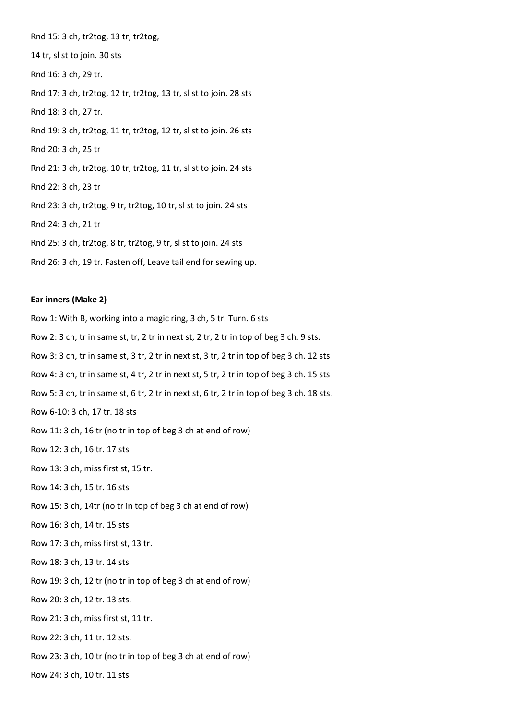Rnd 15: 3 ch, tr2tog, 13 tr, tr2tog, 14 tr, sl st to join. 30 sts Rnd 16: 3 ch, 29 tr. Rnd 17: 3 ch, tr2tog, 12 tr, tr2tog, 13 tr, sl st to join. 28 sts Rnd 18: 3 ch, 27 tr. Rnd 19: 3 ch, tr2tog, 11 tr, tr2tog, 12 tr, sl st to join. 26 sts Rnd 20: 3 ch, 25 tr Rnd 21: 3 ch, tr2tog, 10 tr, tr2tog, 11 tr, sl st to join. 24 sts Rnd 22: 3 ch, 23 tr Rnd 23: 3 ch, tr2tog, 9 tr, tr2tog, 10 tr, sl st to join. 24 sts Rnd 24: 3 ch, 21 tr Rnd 25: 3 ch, tr2tog, 8 tr, tr2tog, 9 tr, sl st to join. 24 sts Rnd 26: 3 ch, 19 tr. Fasten off, Leave tail end for sewing up.

#### **Ear inners (Make 2)**

Row 1: With B, working into a magic ring, 3 ch, 5 tr. Turn. 6 sts Row 2: 3 ch, tr in same st, tr, 2 tr in next st, 2 tr, 2 tr in top of beg 3 ch. 9 sts. Row 3: 3 ch, tr in same st, 3 tr, 2 tr in next st, 3 tr, 2 tr in top of beg 3 ch. 12 sts Row 4: 3 ch, tr in same st, 4 tr, 2 tr in next st, 5 tr, 2 tr in top of beg 3 ch. 15 sts Row 5: 3 ch, tr in same st, 6 tr, 2 tr in next st, 6 tr, 2 tr in top of beg 3 ch. 18 sts. Row 6-10: 3 ch, 17 tr. 18 sts Row 11: 3 ch, 16 tr (no tr in top of beg 3 ch at end of row) Row 12: 3 ch, 16 tr. 17 sts Row 13: 3 ch, miss first st, 15 tr. Row 14: 3 ch, 15 tr. 16 sts Row 15: 3 ch, 14tr (no tr in top of beg 3 ch at end of row) Row 16: 3 ch, 14 tr. 15 sts Row 17: 3 ch, miss first st, 13 tr. Row 18: 3 ch, 13 tr. 14 sts Row 19: 3 ch, 12 tr (no tr in top of beg 3 ch at end of row) Row 20: 3 ch, 12 tr. 13 sts. Row 21: 3 ch, miss first st, 11 tr. Row 22: 3 ch, 11 tr. 12 sts. Row 23: 3 ch, 10 tr (no tr in top of beg 3 ch at end of row)

Row 24: 3 ch, 10 tr. 11 sts